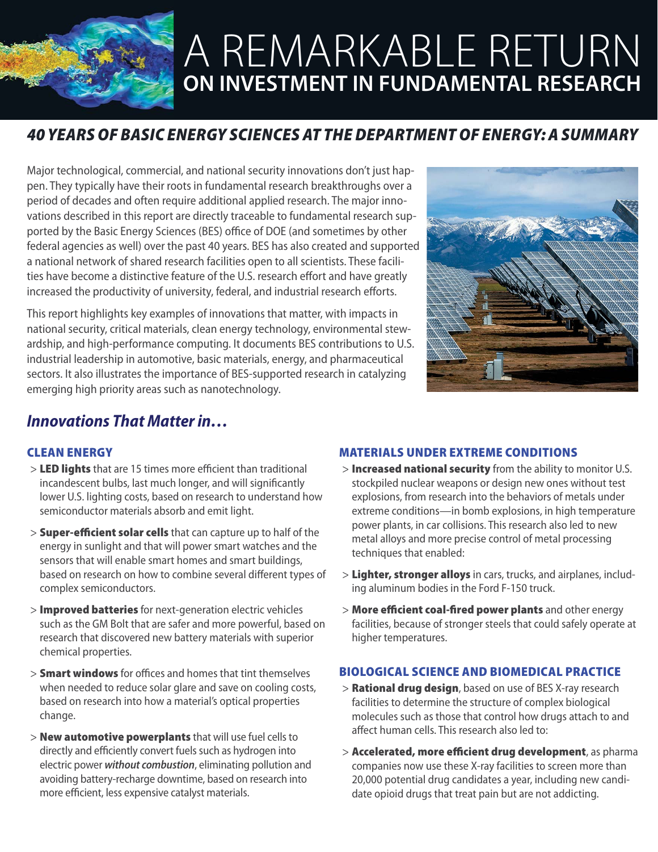

# A REMARKABLE RETURN **ON INVESTMENT IN FUNDAMENTAL RESEARCH**

# *40 YEARS OF BASIC ENERGY SCIENCES AT THE DEPARTMENT OF ENERGY: A SUMMARY*

Major technological, commercial, and national security innovations don't just happen. They typically have their roots in fundamental research breakthroughs over a period of decades and often require additional applied research. The major innovations described in this report are directly traceable to fundamental research supported by the Basic Energy Sciences (BES) office of DOE (and sometimes by other federal agencies as well) over the past 40 years. BES has also created and supported a national network of shared research facilities open to all scientists. These facilities have become a distinctive feature of the U.S. research effort and have greatly increased the productivity of university, federal, and industrial research efforts.

This report highlights key examples of innovations that matter, with impacts in national security, critical materials, clean energy technology, environmental stewardship, and high-performance computing. It documents BES contributions to U.S. industrial leadership in automotive, basic materials, energy, and pharmaceutical sectors. It also illustrates the importance of BES-supported research in catalyzing emerging high priority areas such as nanotechnology.



# *Innovations That Matter in…*

## CLEAN ENERGY

- > LED lights that are 15 times more efficient than traditional incandescent bulbs, last much longer, and will significantly lower U.S. lighting costs, based on research to understand how semiconductor materials absorb and emit light.
- > Super-efficient solar cells that can capture up to half of the energy in sunlight and that will power smart watches and the sensors that will enable smart homes and smart buildings, based on research on how to combine several different types of complex semiconductors.
- > Improved batteries for next-generation electric vehicles such as the GM Bolt that are safer and more powerful, based on research that discovered new battery materials with superior chemical properties.
- > **Smart windows** for offices and homes that tint themselves when needed to reduce solar glare and save on cooling costs, based on research into how a material's optical properties change.
- > **New automotive powerplants** that will use fuel cells to directly and efficiently convert fuels such as hydrogen into electric power *without combustion*, eliminating pollution and avoiding battery-recharge downtime, based on research into more efficient, less expensive catalyst materials.

## MATERIALS UNDER EXTREME CONDITIONS

- > Increased national security from the ability to monitor U.S. stockpiled nuclear weapons or design new ones without test explosions, from research into the behaviors of metals under extreme conditions—in bomb explosions, in high temperature power plants, in car collisions. This research also led to new metal alloys and more precise control of metal processing techniques that enabled:
- > Lighter, stronger alloys in cars, trucks, and airplanes, including aluminum bodies in the Ford F-150 truck.
- > More efficient coal-fired power plants and other energy facilities, because of stronger steels that could safely operate at higher temperatures.

## BIOLOGICAL SCIENCE AND BIOMEDICAL PRACTICE

- > **Rational drug design**, based on use of BES X-ray research facilities to determine the structure of complex biological molecules such as those that control how drugs attach to and affect human cells. This research also led to:
- > Accelerated, more efficient drug development, as pharma companies now use these X-ray facilities to screen more than 20,000 potential drug candidates a year, including new candidate opioid drugs that treat pain but are not addicting.